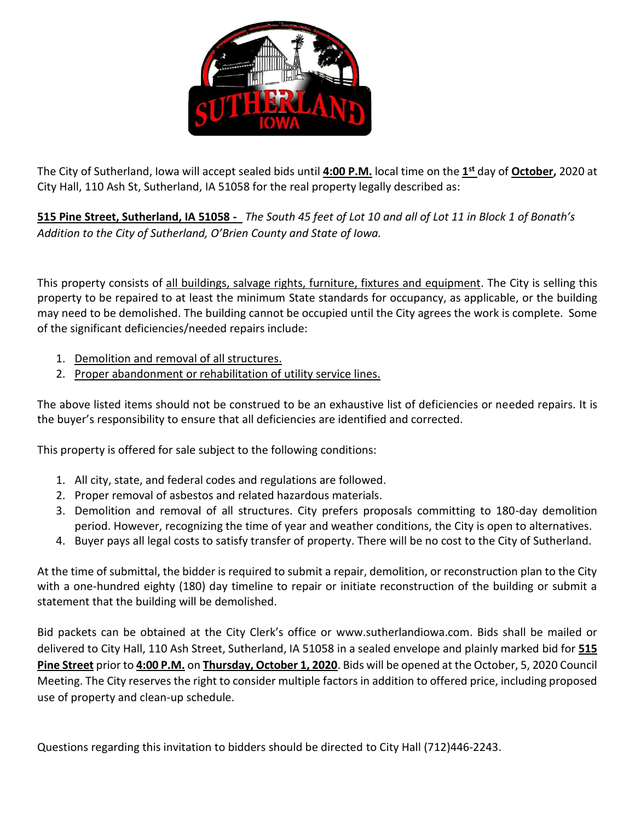

The City of Sutherland, Iowa will accept sealed bids until **4:00 P.M.** local time on the **1 st** day of **October,** 2020 at City Hall, 110 Ash St, Sutherland, IA 51058 for the real property legally described as:

**515 Pine Street, Sutherland, IA 51058 -** *The South 45 feet of Lot 10 and all of Lot 11 in Block 1 of Bonath's Addition to the City of Sutherland, O'Brien County and State of Iowa.*

This property consists of all buildings, salvage rights, furniture, fixtures and equipment. The City is selling this property to be repaired to at least the minimum State standards for occupancy, as applicable, or the building may need to be demolished. The building cannot be occupied until the City agrees the work is complete. Some of the significant deficiencies/needed repairs include:

- 1. Demolition and removal of all structures.
- 2. Proper abandonment or rehabilitation of utility service lines.

The above listed items should not be construed to be an exhaustive list of deficiencies or needed repairs. It is the buyer's responsibility to ensure that all deficiencies are identified and corrected.

This property is offered for sale subject to the following conditions:

- 1. All city, state, and federal codes and regulations are followed.
- 2. Proper removal of asbestos and related hazardous materials.
- 3. Demolition and removal of all structures. City prefers proposals committing to 180-day demolition period. However, recognizing the time of year and weather conditions, the City is open to alternatives.
- 4. Buyer pays all legal costs to satisfy transfer of property. There will be no cost to the City of Sutherland.

At the time of submittal, the bidder is required to submit a repair, demolition, or reconstruction plan to the City with a one-hundred eighty (180) day timeline to repair or initiate reconstruction of the building or submit a statement that the building will be demolished.

Bid packets can be obtained at the City Clerk's office or www.sutherlandiowa.com. Bids shall be mailed or delivered to City Hall, 110 Ash Street, Sutherland, IA 51058 in a sealed envelope and plainly marked bid for **515 Pine Street** prior to **4:00 P.M.** on **Thursday, October 1, 2020**. Bids will be opened at the October, 5, 2020 Council Meeting. The City reserves the right to consider multiple factors in addition to offered price, including proposed use of property and clean-up schedule.

Questions regarding this invitation to bidders should be directed to City Hall (712)446-2243.